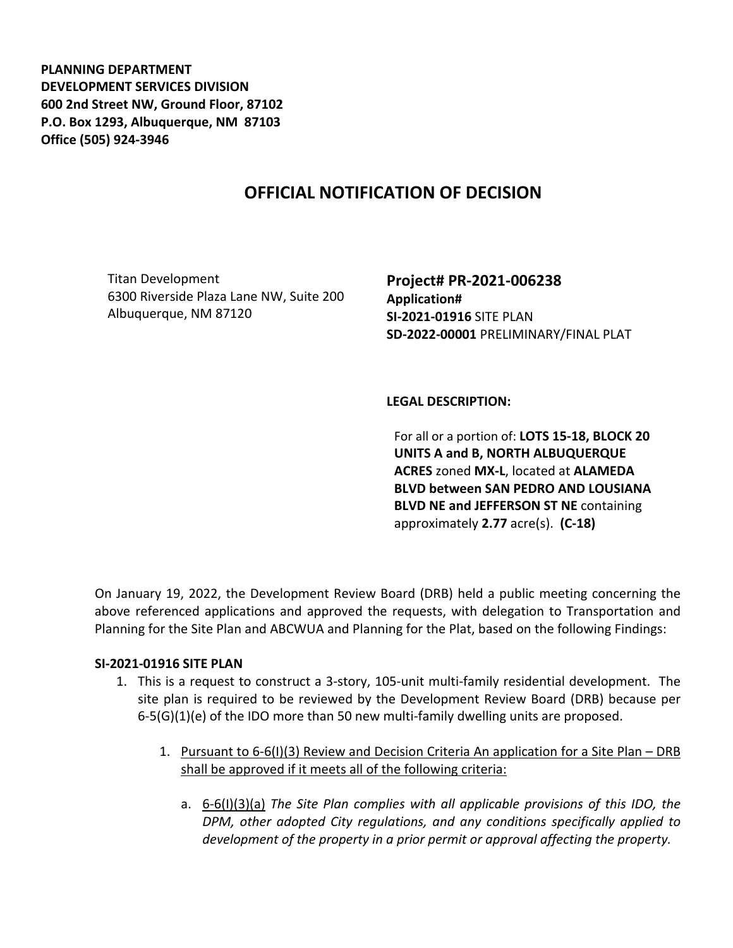**PLANNING DEPARTMENT DEVELOPMENT SERVICES DIVISION 600 2nd Street NW, Ground Floor, 87102 P.O. Box 1293, Albuquerque, NM 87103 Office (505) 924-3946** 

# **OFFICIAL NOTIFICATION OF DECISION**

Titan Development 6300 Riverside Plaza Lane NW, Suite 200 Albuquerque, NM 87120

**Project# PR-2021-006238 Application# SI-2021-01916** SITE PLAN **SD-2022-00001** PRELIMINARY/FINAL PLAT

**LEGAL DESCRIPTION:**

For all or a portion of: **LOTS 15-18, BLOCK 20 UNITS A and B, NORTH ALBUQUERQUE ACRES** zoned **MX-L**, located at **ALAMEDA BLVD between SAN PEDRO AND LOUSIANA BLVD NE and JEFFERSON ST NE** containing approximately **2.77** acre(s). **(C-18)**

On January 19, 2022, the Development Review Board (DRB) held a public meeting concerning the above referenced applications and approved the requests, with delegation to Transportation and Planning for the Site Plan and ABCWUA and Planning for the Plat, based on the following Findings:

## **SI-2021-01916 SITE PLAN**

- 1. This is a request to construct a 3-story, 105-unit multi-family residential development. The site plan is required to be reviewed by the Development Review Board (DRB) because per  $6-5(G)(1)(e)$  of the IDO more than 50 new multi-family dwelling units are proposed.
	- 1. Pursuant to 6-6(I)(3) Review and Decision Criteria An application for a Site Plan DRB shall be approved if it meets all of the following criteria:
		- a. 6-6(I)(3)(a) *The Site Plan complies with all applicable provisions of this IDO, the DPM, other adopted City regulations, and any conditions specifically applied to development of the property in a prior permit or approval affecting the property.*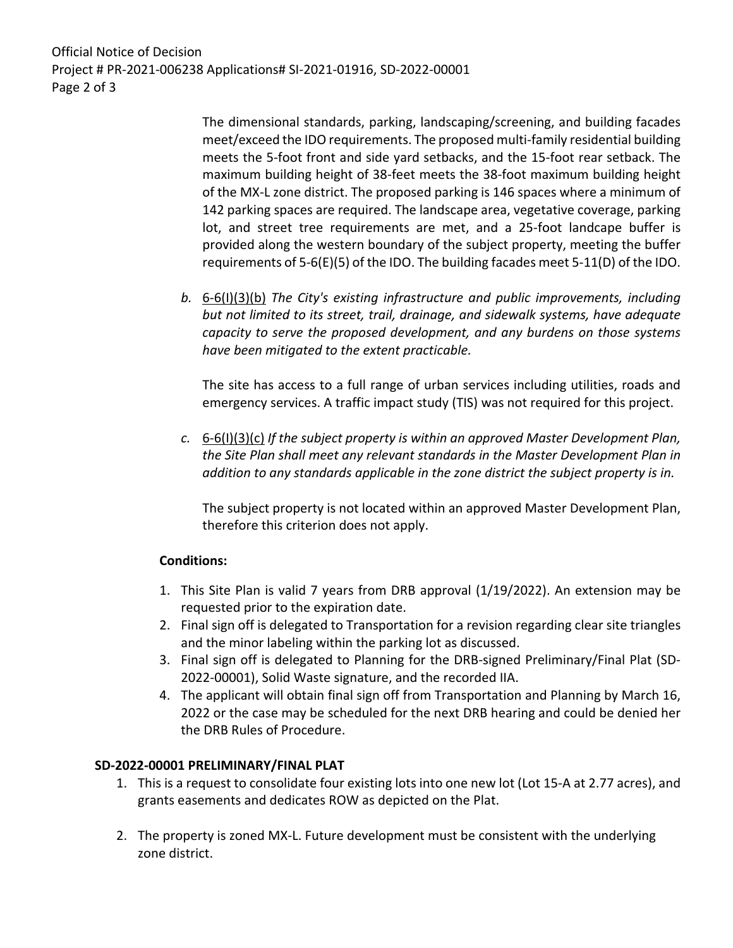Official Notice of Decision Project # PR-2021-006238 Applications# SI-2021-01916, SD-2022-00001 Page 2 of 3

> The dimensional standards, parking, landscaping/screening, and building facades meet/exceed the IDO requirements. The proposed multi-family residential building meets the 5-foot front and side yard setbacks, and the 15-foot rear setback. The maximum building height of 38-feet meets the 38-foot maximum building height of the MX-L zone district. The proposed parking is 146 spaces where a minimum of 142 parking spaces are required. The landscape area, vegetative coverage, parking lot, and street tree requirements are met, and a 25-foot landcape buffer is provided along the western boundary of the subject property, meeting the buffer requirements of 5-6(E)(5) of the IDO. The building facades meet 5-11(D) of the IDO.

*b.* 6-6(I)(3)(b) *The City's existing infrastructure and public improvements, including but not limited to its street, trail, drainage, and sidewalk systems, have adequate capacity to serve the proposed development, and any burdens on those systems have been mitigated to the extent practicable.* 

The site has access to a full range of urban services including utilities, roads and emergency services. A traffic impact study (TIS) was not required for this project.

*c.* 6-6(I)(3)(c) *If the subject property is within an approved Master Development Plan, the Site Plan shall meet any relevant standards in the Master Development Plan in addition to any standards applicable in the zone district the subject property is in.*

The subject property is not located within an approved Master Development Plan, therefore this criterion does not apply.

## **Conditions:**

- 1. This Site Plan is valid 7 years from DRB approval (1/19/2022). An extension may be requested prior to the expiration date.
- 2. Final sign off is delegated to Transportation for a revision regarding clear site triangles and the minor labeling within the parking lot as discussed.
- 3. Final sign off is delegated to Planning for the DRB-signed Preliminary/Final Plat (SD-2022-00001), Solid Waste signature, and the recorded IIA.
- 4. The applicant will obtain final sign off from Transportation and Planning by March 16, 2022 or the case may be scheduled for the next DRB hearing and could be denied her the DRB Rules of Procedure.

## **SD-2022-00001 PRELIMINARY/FINAL PLAT**

- 1. This is a request to consolidate four existing lots into one new lot (Lot 15-A at 2.77 acres), and grants easements and dedicates ROW as depicted on the Plat.
- 2. The property is zoned MX-L. Future development must be consistent with the underlying zone district.